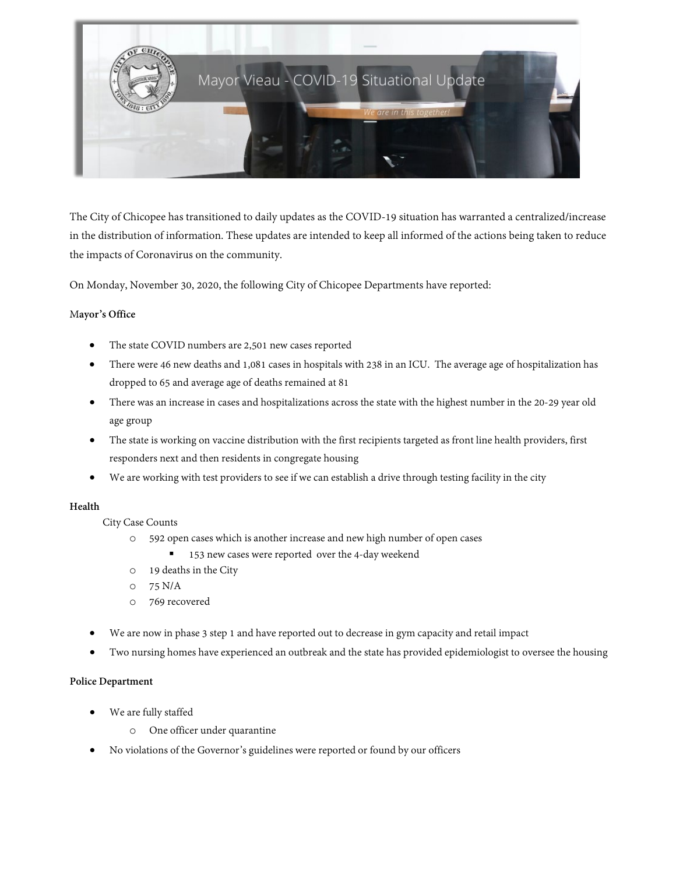

The City of Chicopee has transitioned to daily updates as the COVID-19 situation has warranted a centralized/increase in the distribution of information. These updates are intended to keep all informed of the actions being taken to reduce the impacts of Coronavirus on the community.

On Monday, November 30, 2020, the following City of Chicopee Departments have reported:

### M**ayor's Office**

- The state COVID numbers are 2,501 new cases reported
- There were 46 new deaths and 1,081 cases in hospitals with 238 in an ICU. The average age of hospitalization has dropped to 65 and average age of deaths remained at 81
- There was an increasein cases and hospitalizations across the state with the highest number in the 20-29 year old age group
- The state is working on vaccine distribution with the first recipients targeted as front line health providers, first responders next and then residents in congregate housing
- We are working with test providers to see if we can establish a drive through testing facility in the city

### **Health**

- City Case Counts
	- o 592 open cases which is another increase and new high number of open cases
		- 153 new cases were reported over the 4-day weekend
	- o 19 deaths in the City
	- o 75 N/A
	- o 769 recovered
- We are now in phase 3 step 1 and have reported out to decrease in gym capacity and retail impact
- Two nursing homes have experienced an outbreak and the state has provided epidemiologist to oversee the housing

### **Police Department**

- We are fully staffed
	- o One officer under quarantine
- No violations of the Governor's guidelines were reported or found by our officers